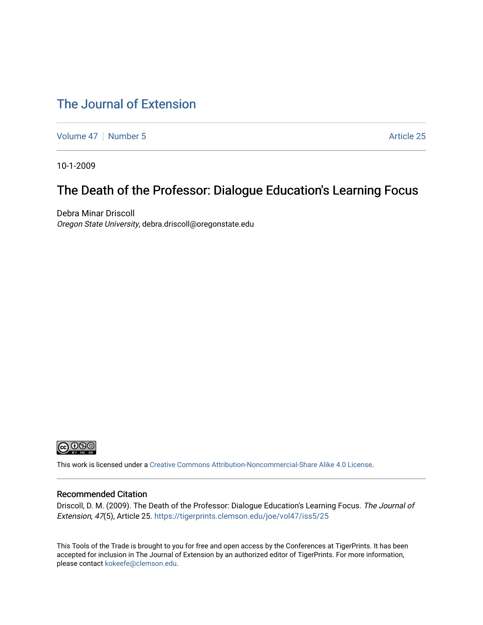### [The Journal of Extension](https://tigerprints.clemson.edu/joe)

[Volume 47](https://tigerprints.clemson.edu/joe/vol47) | [Number 5](https://tigerprints.clemson.edu/joe/vol47/iss5) Article 25

10-1-2009

### The Death of the Professor: Dialogue Education's Learning Focus

Debra Minar Driscoll Oregon State University, debra.driscoll@oregonstate.edu



This work is licensed under a [Creative Commons Attribution-Noncommercial-Share Alike 4.0 License.](https://creativecommons.org/licenses/by-nc-sa/4.0/)

#### Recommended Citation

Driscoll, D. M. (2009). The Death of the Professor: Dialogue Education's Learning Focus. The Journal of Extension, 47(5), Article 25. <https://tigerprints.clemson.edu/joe/vol47/iss5/25>

This Tools of the Trade is brought to you for free and open access by the Conferences at TigerPrints. It has been accepted for inclusion in The Journal of Extension by an authorized editor of TigerPrints. For more information, please contact [kokeefe@clemson.edu](mailto:kokeefe@clemson.edu).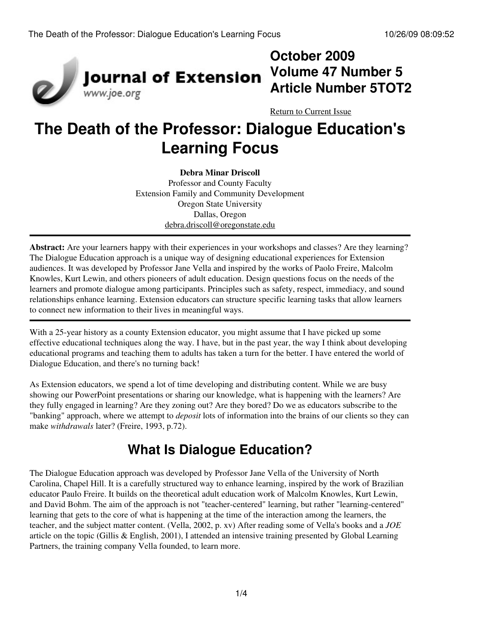

## **October 2009 Volume 47 Number 5 Article Number 5TOT2**

[Return to Current Issue](http://www.joe.org:80/joe/2009october/)

# **The Death of the Professor: Dialogue Education's Learning Focus**

**Debra Minar Driscoll** Professor and County Faculty Extension Family and Community Development Oregon State University Dallas, Oregon [debra.driscoll@oregonstate.edu](mailto:debra.driscoll@oregonstate.edu)

**Abstract:** Are your learners happy with their experiences in your workshops and classes? Are they learning? The Dialogue Education approach is a unique way of designing educational experiences for Extension audiences. It was developed by Professor Jane Vella and inspired by the works of Paolo Freire, Malcolm Knowles, Kurt Lewin, and others pioneers of adult education. Design questions focus on the needs of the learners and promote dialogue among participants. Principles such as safety, respect, immediacy, and sound relationships enhance learning. Extension educators can structure specific learning tasks that allow learners to connect new information to their lives in meaningful ways.

With a 25-year history as a county Extension educator, you might assume that I have picked up some effective educational techniques along the way. I have, but in the past year, the way I think about developing educational programs and teaching them to adults has taken a turn for the better. I have entered the world of Dialogue Education, and there's no turning back!

As Extension educators, we spend a lot of time developing and distributing content. While we are busy showing our PowerPoint presentations or sharing our knowledge, what is happening with the learners? Are they fully engaged in learning? Are they zoning out? Are they bored? Do we as educators subscribe to the "banking" approach, where we attempt to *deposit* lots of information into the brains of our clients so they can make *withdrawals* later? (Freire, 1993, p.72).

# **What Is Dialogue Education?**

The Dialogue Education approach was developed by Professor Jane Vella of the University of North Carolina, Chapel Hill. It is a carefully structured way to enhance learning, inspired by the work of Brazilian educator Paulo Freire. It builds on the theoretical adult education work of Malcolm Knowles, Kurt Lewin, and David Bohm. The aim of the approach is not "teacher-centered" learning, but rather "learning-centered" learning that gets to the core of what is happening at the time of the interaction among the learners, the teacher, and the subject matter content. (Vella, 2002, p. xv) After reading some of Vella's books and a *JOE* article on the topic (Gillis & English, 2001), I attended an intensive training presented by Global Learning Partners, the training company Vella founded, to learn more.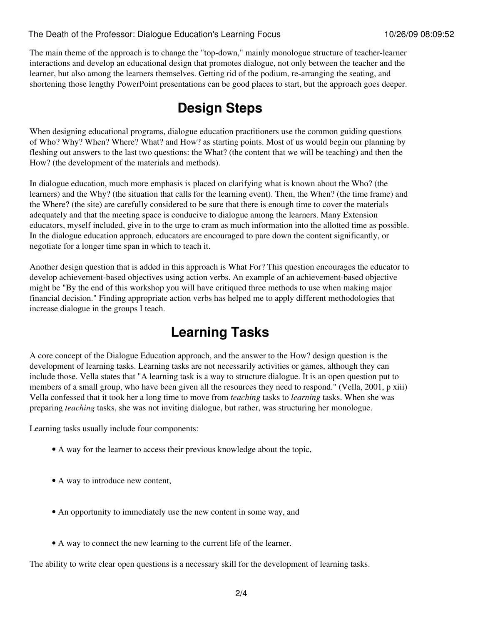#### The Death of the Professor: Dialogue Education's Learning Focus 10/26/09 08:09:52

The main theme of the approach is to change the "top-down," mainly monologue structure of teacher-learner interactions and develop an educational design that promotes dialogue, not only between the teacher and the learner, but also among the learners themselves. Getting rid of the podium, re-arranging the seating, and shortening those lengthy PowerPoint presentations can be good places to start, but the approach goes deeper.

### **Design Steps**

When designing educational programs, dialogue education practitioners use the common guiding questions of Who? Why? When? Where? What? and How? as starting points. Most of us would begin our planning by fleshing out answers to the last two questions: the What? (the content that we will be teaching) and then the How? (the development of the materials and methods).

In dialogue education, much more emphasis is placed on clarifying what is known about the Who? (the learners) and the Why? (the situation that calls for the learning event). Then, the When? (the time frame) and the Where? (the site) are carefully considered to be sure that there is enough time to cover the materials adequately and that the meeting space is conducive to dialogue among the learners. Many Extension educators, myself included, give in to the urge to cram as much information into the allotted time as possible. In the dialogue education approach, educators are encouraged to pare down the content significantly, or negotiate for a longer time span in which to teach it.

Another design question that is added in this approach is What For? This question encourages the educator to develop achievement-based objectives using action verbs. An example of an achievement-based objective might be "By the end of this workshop you will have critiqued three methods to use when making major financial decision." Finding appropriate action verbs has helped me to apply different methodologies that increase dialogue in the groups I teach.

### **Learning Tasks**

A core concept of the Dialogue Education approach, and the answer to the How? design question is the development of learning tasks. Learning tasks are not necessarily activities or games, although they can include those. Vella states that "A learning task is a way to structure dialogue. It is an open question put to members of a small group, who have been given all the resources they need to respond." (Vella, 2001, p xiii) Vella confessed that it took her a long time to move from *teaching* tasks to *learning* tasks. When she was preparing *teaching* tasks, she was not inviting dialogue, but rather, was structuring her monologue.

Learning tasks usually include four components:

- A way for the learner to access their previous knowledge about the topic,
- A way to introduce new content,
- An opportunity to immediately use the new content in some way, and
- A way to connect the new learning to the current life of the learner.

The ability to write clear open questions is a necessary skill for the development of learning tasks.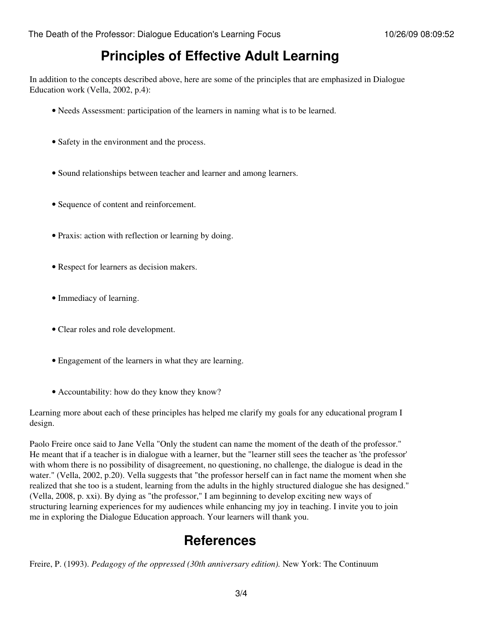### **Principles of Effective Adult Learning**

In addition to the concepts described above, here are some of the principles that are emphasized in Dialogue Education work (Vella, 2002, p.4):

- Needs Assessment: participation of the learners in naming what is to be learned.
- Safety in the environment and the process.
- Sound relationships between teacher and learner and among learners.
- Sequence of content and reinforcement.
- Praxis: action with reflection or learning by doing.
- Respect for learners as decision makers.
- Immediacy of learning.
- Clear roles and role development.
- Engagement of the learners in what they are learning.
- Accountability: how do they know they know?

Learning more about each of these principles has helped me clarify my goals for any educational program I design.

Paolo Freire once said to Jane Vella "Only the student can name the moment of the death of the professor." He meant that if a teacher is in dialogue with a learner, but the "learner still sees the teacher as 'the professor' with whom there is no possibility of disagreement, no questioning, no challenge, the dialogue is dead in the water." (Vella, 2002, p.20). Vella suggests that "the professor herself can in fact name the moment when she realized that she too is a student, learning from the adults in the highly structured dialogue she has designed." (Vella, 2008, p. xxi). By dying as "the professor," I am beginning to develop exciting new ways of structuring learning experiences for my audiences while enhancing my joy in teaching. I invite you to join me in exploring the Dialogue Education approach. Your learners will thank you.

### **References**

Freire, P. (1993). *Pedagogy of the oppressed (30th anniversary edition).* New York: The Continuum